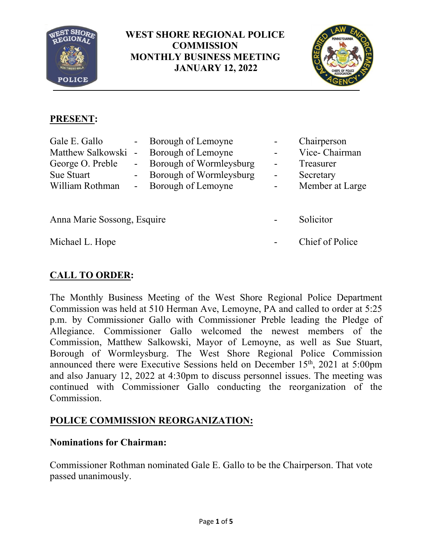

**WEST SHORE REGIONAL POLICE COMMISSION MONTHLY BUSINESS MEETING JANUARY 12, 2022**



# **PRESENT:**

| Gale E. Gallo       | - Borough of Lemoyne      |                  | Chairperson     |
|---------------------|---------------------------|------------------|-----------------|
| Matthew Salkowski - | Borough of Lemoyne        |                  | Vice-Chairman   |
| George O. Preble    | - Borough of Wormleysburg | $\blacksquare$   | Treasurer       |
| Sue Stuart          | - Borough of Wormleysburg | $\blacksquare$   | Secretary       |
| William Rothman     | - Borough of Lemoyne      | $\sim$ 100 $\mu$ | Member at Large |
|                     |                           |                  |                 |
|                     |                           |                  |                 |

Anna Marie Sossong, Esquire **- Solicitor** 

Michael L. Hope **- Chief of Police** 

# **CALL TO ORDER:**

The Monthly Business Meeting of the West Shore Regional Police Department Commission was held at 510 Herman Ave, Lemoyne, PA and called to order at 5:25 p.m. by Commissioner Gallo with Commissioner Preble leading the Pledge of Allegiance. Commissioner Gallo welcomed the newest members of the Commission, Matthew Salkowski, Mayor of Lemoyne, as well as Sue Stuart, Borough of Wormleysburg. The West Shore Regional Police Commission announced there were Executive Sessions held on December  $15<sup>th</sup>$ , 2021 at 5:00pm and also January 12, 2022 at 4:30pm to discuss personnel issues. The meeting was continued with Commissioner Gallo conducting the reorganization of the Commission.

# **POLICE COMMISSION REORGANIZATION:**

## **Nominations for Chairman:**

Commissioner Rothman nominated Gale E. Gallo to be the Chairperson. That vote passed unanimously.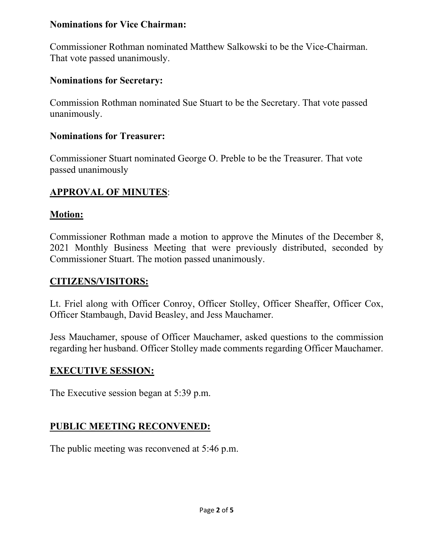#### **Nominations for Vice Chairman:**

Commissioner Rothman nominated Matthew Salkowski to be the Vice-Chairman. That vote passed unanimously.

## **Nominations for Secretary:**

Commission Rothman nominated Sue Stuart to be the Secretary. That vote passed unanimously.

### **Nominations for Treasurer:**

Commissioner Stuart nominated George O. Preble to be the Treasurer. That vote passed unanimously

## **APPROVAL OF MINUTES**:

### **Motion:**

Commissioner Rothman made a motion to approve the Minutes of the December 8, 2021 Monthly Business Meeting that were previously distributed, seconded by Commissioner Stuart. The motion passed unanimously.

## **CITIZENS/VISITORS:**

Lt. Friel along with Officer Conroy, Officer Stolley, Officer Sheaffer, Officer Cox, Officer Stambaugh, David Beasley, and Jess Mauchamer.

Jess Mauchamer, spouse of Officer Mauchamer, asked questions to the commission regarding her husband. Officer Stolley made comments regarding Officer Mauchamer.

## **EXECUTIVE SESSION:**

The Executive session began at 5:39 p.m.

# **PUBLIC MEETING RECONVENED:**

The public meeting was reconvened at 5:46 p.m.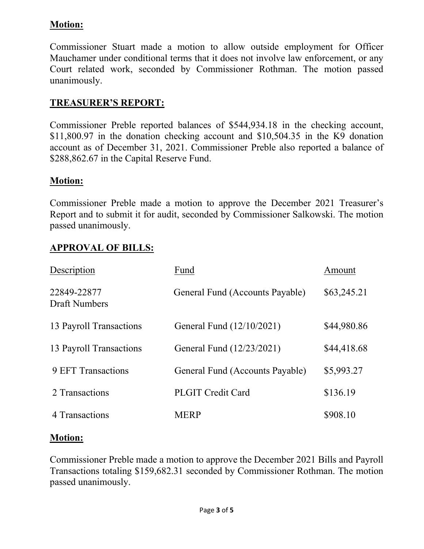## **Motion:**

Commissioner Stuart made a motion to allow outside employment for Officer Mauchamer under conditional terms that it does not involve law enforcement, or any Court related work, seconded by Commissioner Rothman. The motion passed unanimously.

## **TREASURER'S REPORT:**

Commissioner Preble reported balances of \$544,934.18 in the checking account, \$11,800.97 in the donation checking account and \$10,504.35 in the K9 donation account as of December 31, 2021. Commissioner Preble also reported a balance of \$288,862.67 in the Capital Reserve Fund.

### **Motion:**

Commissioner Preble made a motion to approve the December 2021 Treasurer's Report and to submit it for audit, seconded by Commissioner Salkowski. The motion passed unanimously.

## **APPROVAL OF BILLS:**

| Description                         | Fund                            | Amount      |
|-------------------------------------|---------------------------------|-------------|
| 22849-22877<br><b>Draft Numbers</b> | General Fund (Accounts Payable) | \$63,245.21 |
| 13 Payroll Transactions             | General Fund (12/10/2021)       | \$44,980.86 |
| 13 Payroll Transactions             | General Fund (12/23/2021)       | \$44,418.68 |
| <b>9 EFT Transactions</b>           | General Fund (Accounts Payable) | \$5,993.27  |
| 2 Transactions                      | <b>PLGIT Credit Card</b>        | \$136.19    |
| 4 Transactions                      | <b>MERP</b>                     | \$908.10    |

#### **Motion:**

Commissioner Preble made a motion to approve the December 2021 Bills and Payroll Transactions totaling \$159,682.31 seconded by Commissioner Rothman. The motion passed unanimously.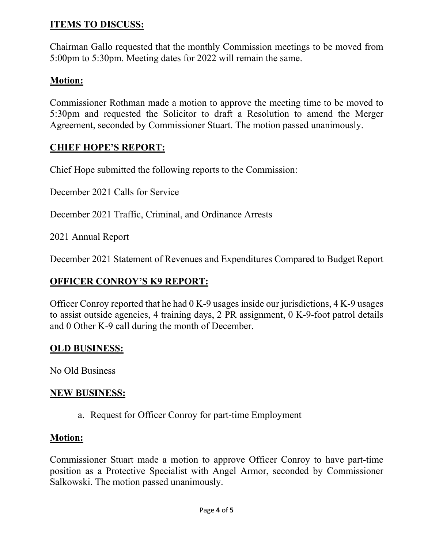## **ITEMS TO DISCUSS:**

Chairman Gallo requested that the monthly Commission meetings to be moved from 5:00pm to 5:30pm. Meeting dates for 2022 will remain the same.

## **Motion:**

Commissioner Rothman made a motion to approve the meeting time to be moved to 5:30pm and requested the Solicitor to draft a Resolution to amend the Merger Agreement, seconded by Commissioner Stuart. The motion passed unanimously.

## **CHIEF HOPE'S REPORT:**

Chief Hope submitted the following reports to the Commission:

December 2021 Calls for Service

December 2021 Traffic, Criminal, and Ordinance Arrests

2021 Annual Report

December 2021 Statement of Revenues and Expenditures Compared to Budget Report

## **OFFICER CONROY'S K9 REPORT:**

Officer Conroy reported that he had 0 K-9 usages inside our jurisdictions, 4 K-9 usages to assist outside agencies, 4 training days, 2 PR assignment, 0 K-9-foot patrol details and 0 Other K-9 call during the month of December.

## **OLD BUSINESS:**

No Old Business

#### **NEW BUSINESS:**

a. Request for Officer Conroy for part-time Employment

#### **Motion:**

Commissioner Stuart made a motion to approve Officer Conroy to have part-time position as a Protective Specialist with Angel Armor, seconded by Commissioner Salkowski. The motion passed unanimously.